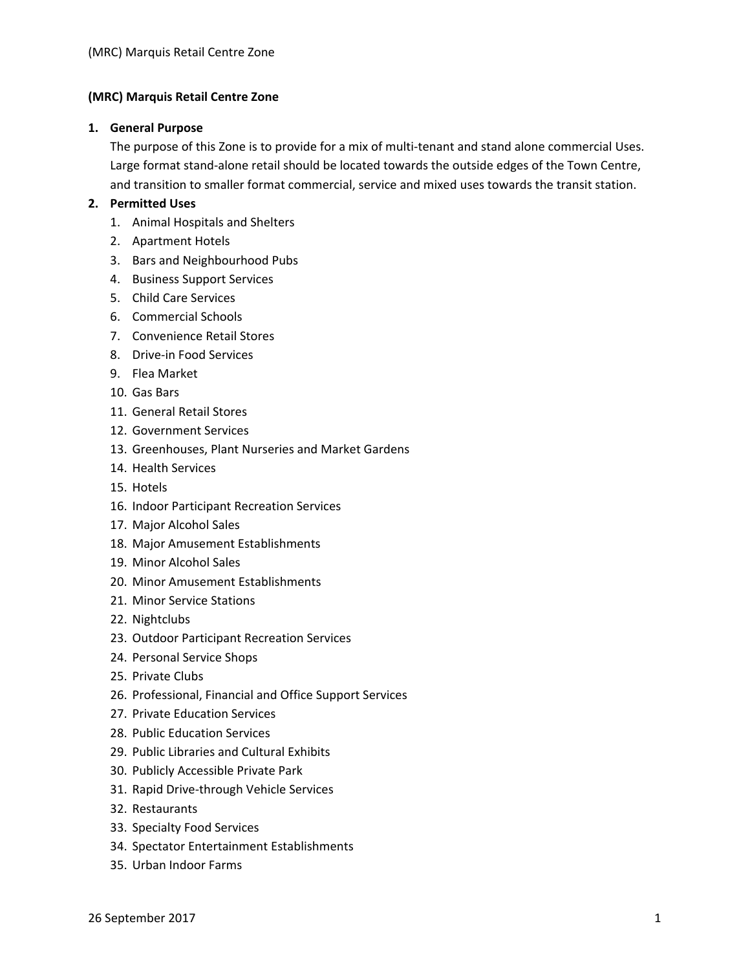### **(MRC) Marquis Retail Centre Zone**

#### **1. General Purpose**

The purpose of this Zone is to provide for a mix of multi-tenant and stand alone commercial Uses. Large format stand‐alone retail should be located towards the outside edges of the Town Centre, and transition to smaller format commercial, service and mixed uses towards the transit station.

### **2. Permitted Uses**

- 1. Animal Hospitals and Shelters
- 2. Apartment Hotels
- 3. Bars and Neighbourhood Pubs
- 4. Business Support Services
- 5. Child Care Services
- 6. Commercial Schools
- 7. Convenience Retail Stores
- 8. Drive‐in Food Services
- 9. Flea Market
- 10. Gas Bars
- 11. General Retail Stores
- 12. Government Services
- 13. Greenhouses, Plant Nurseries and Market Gardens
- 14. Health Services
- 15. Hotels
- 16. Indoor Participant Recreation Services
- 17. Major Alcohol Sales
- 18. Major Amusement Establishments
- 19. Minor Alcohol Sales
- 20. Minor Amusement Establishments
- 21. Minor Service Stations
- 22. Nightclubs
- 23. Outdoor Participant Recreation Services
- 24. Personal Service Shops
- 25. Private Clubs
- 26. Professional, Financial and Office Support Services
- 27. Private Education Services
- 28. Public Education Services
- 29. Public Libraries and Cultural Exhibits
- 30. Publicly Accessible Private Park
- 31. Rapid Drive‐through Vehicle Services
- 32. Restaurants
- 33. Specialty Food Services
- 34. Spectator Entertainment Establishments
- 35. Urban Indoor Farms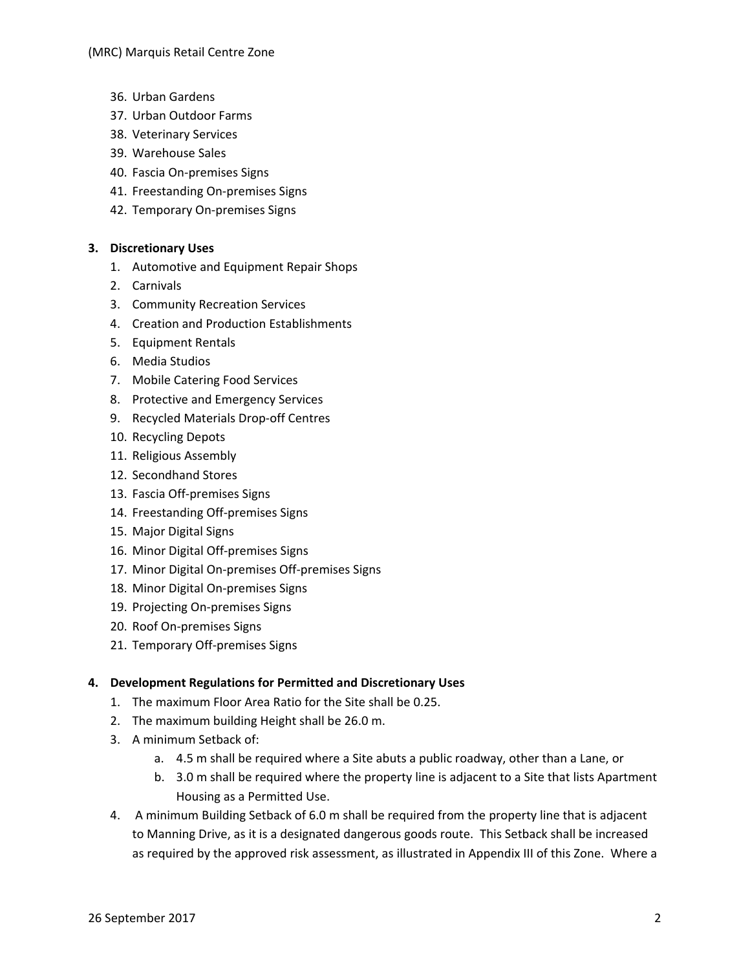- 36. Urban Gardens
- 37. Urban Outdoor Farms
- 38. Veterinary Services
- 39. Warehouse Sales
- 40. Fascia On‐premises Signs
- 41. Freestanding On‐premises Signs
- 42. Temporary On‐premises Signs

# **3. Discretionary Uses**

- 1. Automotive and Equipment Repair Shops
- 2. Carnivals
- 3. Community Recreation Services
- 4. Creation and Production Establishments
- 5. Equipment Rentals
- 6. Media Studios
- 7. Mobile Catering Food Services
- 8. Protective and Emergency Services
- 9. Recycled Materials Drop‐off Centres
- 10. Recycling Depots
- 11. Religious Assembly
- 12. Secondhand Stores
- 13. Fascia Off‐premises Signs
- 14. Freestanding Off‐premises Signs
- 15. Major Digital Signs
- 16. Minor Digital Off‐premises Signs
- 17. Minor Digital On‐premises Off‐premises Signs
- 18. Minor Digital On‐premises Signs
- 19. Projecting On‐premises Signs
- 20. Roof On‐premises Signs
- 21. Temporary Off‐premises Signs

# **4. Development Regulations for Permitted and Discretionary Uses**

- 1. The maximum Floor Area Ratio for the Site shall be 0.25.
- 2. The maximum building Height shall be 26.0 m.
- 3. A minimum Setback of:
	- a. 4.5 m shall be required where a Site abuts a public roadway, other than a Lane, or
	- b. 3.0 m shall be required where the property line is adjacent to a Site that lists Apartment Housing as a Permitted Use.
- 4. A minimum Building Setback of 6.0 m shall be required from the property line that is adjacent to Manning Drive, as it is a designated dangerous goods route. This Setback shall be increased as required by the approved risk assessment, as illustrated in Appendix III of this Zone. Where a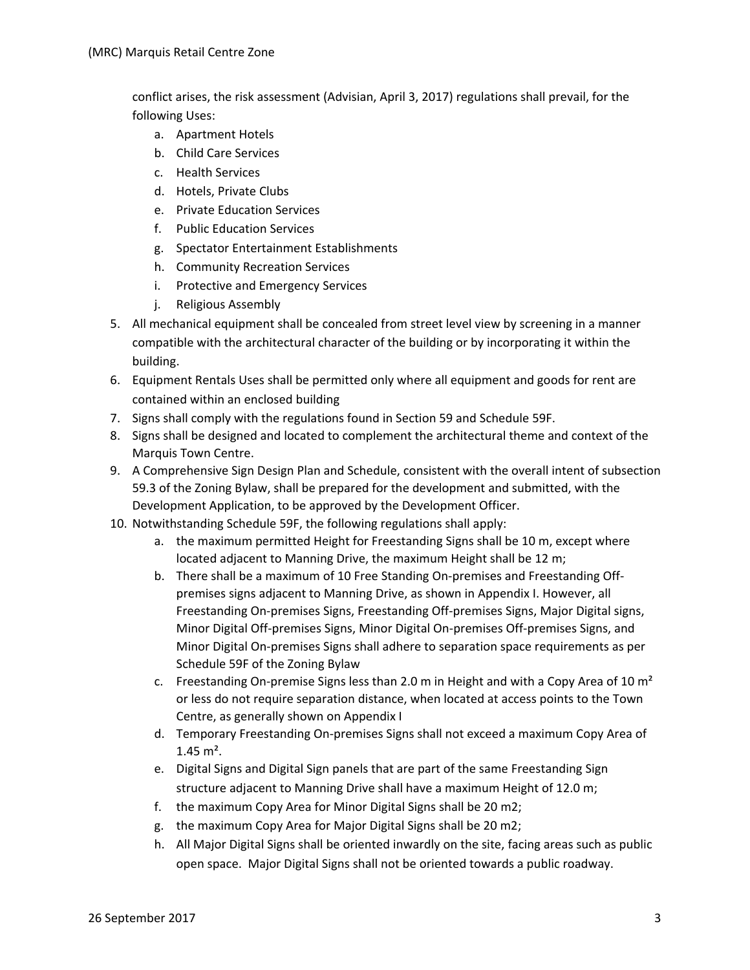conflict arises, the risk assessment (Advisian, April 3, 2017) regulations shall prevail, for the following Uses:

- a. Apartment Hotels
- b. Child Care Services
- c. Health Services
- d. Hotels, Private Clubs
- e. Private Education Services
- f. Public Education Services
- g. Spectator Entertainment Establishments
- h. Community Recreation Services
- i. Protective and Emergency Services
- j. Religious Assembly
- 5. All mechanical equipment shall be concealed from street level view by screening in a manner compatible with the architectural character of the building or by incorporating it within the building.
- 6. Equipment Rentals Uses shall be permitted only where all equipment and goods for rent are contained within an enclosed building
- 7. Signs shall comply with the regulations found in Section 59 and Schedule 59F.
- 8. Signs shall be designed and located to complement the architectural theme and context of the Marquis Town Centre.
- 9. A Comprehensive Sign Design Plan and Schedule, consistent with the overall intent of subsection 59.3 of the Zoning Bylaw, shall be prepared for the development and submitted, with the Development Application, to be approved by the Development Officer.
- 10. Notwithstanding Schedule 59F, the following regulations shall apply:
	- a. the maximum permitted Height for Freestanding Signs shall be 10 m, except where located adjacent to Manning Drive, the maximum Height shall be 12 m;
	- b. There shall be a maximum of 10 Free Standing On‐premises and Freestanding Off‐ premises signs adjacent to Manning Drive, as shown in Appendix I. However, all Freestanding On‐premises Signs, Freestanding Off‐premises Signs, Major Digital signs, Minor Digital Off‐premises Signs, Minor Digital On‐premises Off‐premises Signs, and Minor Digital On‐premises Signs shall adhere to separation space requirements as per Schedule 59F of the Zoning Bylaw
	- c. Freestanding On-premise Signs less than 2.0 m in Height and with a Copy Area of 10  $m<sup>2</sup>$ or less do not require separation distance, when located at access points to the Town Centre, as generally shown on Appendix I
	- d. Temporary Freestanding On‐premises Signs shall not exceed a maximum Copy Area of  $1.45 \text{ m}^2$ .
	- e. Digital Signs and Digital Sign panels that are part of the same Freestanding Sign structure adjacent to Manning Drive shall have a maximum Height of 12.0 m;
	- f. the maximum Copy Area for Minor Digital Signs shall be 20 m2;
	- g. the maximum Copy Area for Major Digital Signs shall be 20 m2;
	- h. All Major Digital Signs shall be oriented inwardly on the site, facing areas such as public open space. Major Digital Signs shall not be oriented towards a public roadway.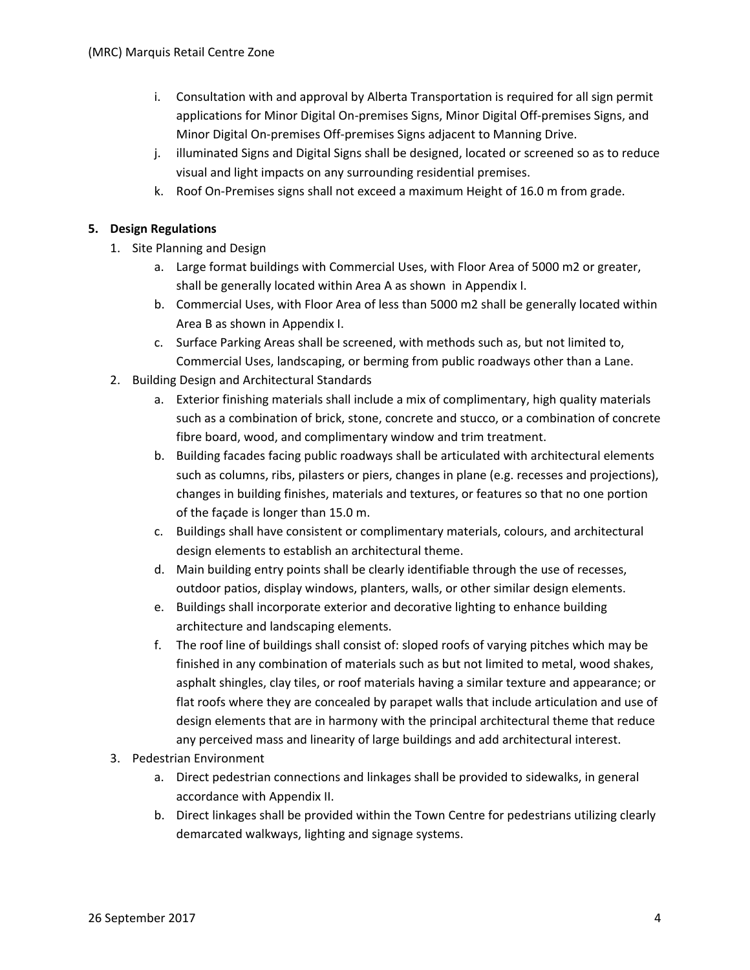- i. Consultation with and approval by Alberta Transportation is required for all sign permit applications for Minor Digital On‐premises Signs, Minor Digital Off‐premises Signs, and Minor Digital On‐premises Off‐premises Signs adjacent to Manning Drive.
- j. illuminated Signs and Digital Signs shall be designed, located or screened so as to reduce visual and light impacts on any surrounding residential premises.
- k. Roof On‐Premises signs shall not exceed a maximum Height of 16.0 m from grade.

### **5. Design Regulations**

- 1. Site Planning and Design
	- a. Large format buildings with Commercial Uses, with Floor Area of 5000 m2 or greater, shall be generally located within Area A as shown in Appendix I.
	- b. Commercial Uses, with Floor Area of less than 5000 m2 shall be generally located within Area B as shown in Appendix I.
	- c. Surface Parking Areas shall be screened, with methods such as, but not limited to, Commercial Uses, landscaping, or berming from public roadways other than a Lane.
- 2. Building Design and Architectural Standards
	- a. Exterior finishing materials shall include a mix of complimentary, high quality materials such as a combination of brick, stone, concrete and stucco, or a combination of concrete fibre board, wood, and complimentary window and trim treatment.
	- b. Building facades facing public roadways shall be articulated with architectural elements such as columns, ribs, pilasters or piers, changes in plane (e.g. recesses and projections), changes in building finishes, materials and textures, or features so that no one portion of the façade is longer than 15.0 m.
	- c. Buildings shall have consistent or complimentary materials, colours, and architectural design elements to establish an architectural theme.
	- d. Main building entry points shall be clearly identifiable through the use of recesses, outdoor patios, display windows, planters, walls, or other similar design elements.
	- e. Buildings shall incorporate exterior and decorative lighting to enhance building architecture and landscaping elements.
	- f. The roof line of buildings shall consist of: sloped roofs of varying pitches which may be finished in any combination of materials such as but not limited to metal, wood shakes, asphalt shingles, clay tiles, or roof materials having a similar texture and appearance; or flat roofs where they are concealed by parapet walls that include articulation and use of design elements that are in harmony with the principal architectural theme that reduce any perceived mass and linearity of large buildings and add architectural interest.
- 3. Pedestrian Environment
	- a. Direct pedestrian connections and linkages shall be provided to sidewalks, in general accordance with Appendix II.
	- b. Direct linkages shall be provided within the Town Centre for pedestrians utilizing clearly demarcated walkways, lighting and signage systems.